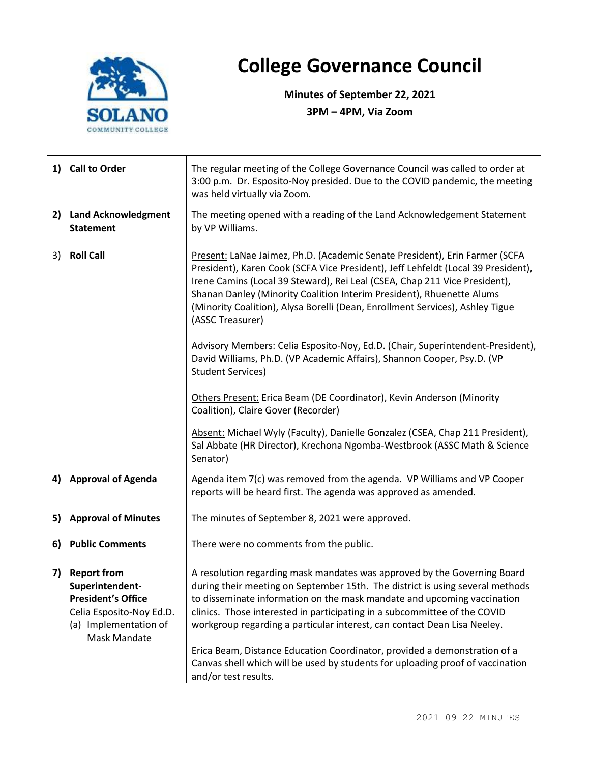

## **College Governance Council**

**Minutes of September 22, 2021 3PM – 4PM, Via Zoom**

|    | 1) Call to Order                                                                                                                               | The regular meeting of the College Governance Council was called to order at<br>3:00 p.m. Dr. Esposito-Noy presided. Due to the COVID pandemic, the meeting<br>was held virtually via Zoom.                                                                                                                                                                                                                                                                                                                                                                                          |  |  |
|----|------------------------------------------------------------------------------------------------------------------------------------------------|--------------------------------------------------------------------------------------------------------------------------------------------------------------------------------------------------------------------------------------------------------------------------------------------------------------------------------------------------------------------------------------------------------------------------------------------------------------------------------------------------------------------------------------------------------------------------------------|--|--|
|    | 2) Land Acknowledgment<br><b>Statement</b>                                                                                                     | The meeting opened with a reading of the Land Acknowledgement Statement<br>by VP Williams.                                                                                                                                                                                                                                                                                                                                                                                                                                                                                           |  |  |
| 3) | <b>Roll Call</b>                                                                                                                               | Present: LaNae Jaimez, Ph.D. (Academic Senate President), Erin Farmer (SCFA<br>President), Karen Cook (SCFA Vice President), Jeff Lehfeldt (Local 39 President),<br>Irene Camins (Local 39 Steward), Rei Leal (CSEA, Chap 211 Vice President),<br>Shanan Danley (Minority Coalition Interim President), Rhuenette Alums<br>(Minority Coalition), Alysa Borelli (Dean, Enrollment Services), Ashley Tigue<br>(ASSC Treasurer)                                                                                                                                                         |  |  |
|    |                                                                                                                                                | Advisory Members: Celia Esposito-Noy, Ed.D. (Chair, Superintendent-President),<br>David Williams, Ph.D. (VP Academic Affairs), Shannon Cooper, Psy.D. (VP<br><b>Student Services)</b>                                                                                                                                                                                                                                                                                                                                                                                                |  |  |
|    |                                                                                                                                                | Others Present: Erica Beam (DE Coordinator), Kevin Anderson (Minority<br>Coalition), Claire Gover (Recorder)                                                                                                                                                                                                                                                                                                                                                                                                                                                                         |  |  |
|    |                                                                                                                                                | Absent: Michael Wyly (Faculty), Danielle Gonzalez (CSEA, Chap 211 President),<br>Sal Abbate (HR Director), Krechona Ngomba-Westbrook (ASSC Math & Science<br>Senator)                                                                                                                                                                                                                                                                                                                                                                                                                |  |  |
|    | 4) Approval of Agenda                                                                                                                          | Agenda item 7(c) was removed from the agenda. VP Williams and VP Cooper<br>reports will be heard first. The agenda was approved as amended.                                                                                                                                                                                                                                                                                                                                                                                                                                          |  |  |
|    | 5) Approval of Minutes                                                                                                                         | The minutes of September 8, 2021 were approved.                                                                                                                                                                                                                                                                                                                                                                                                                                                                                                                                      |  |  |
|    | 6) Public Comments                                                                                                                             | There were no comments from the public.                                                                                                                                                                                                                                                                                                                                                                                                                                                                                                                                              |  |  |
| 7) | <b>Report from</b><br>Superintendent-<br><b>President's Office</b><br>Celia Esposito-Noy Ed.D.<br>(a) Implementation of<br><b>Mask Mandate</b> | A resolution regarding mask mandates was approved by the Governing Board<br>during their meeting on September 15th. The district is using several methods<br>to disseminate information on the mask mandate and upcoming vaccination<br>clinics. Those interested in participating in a subcommittee of the COVID<br>workgroup regarding a particular interest, can contact Dean Lisa Neeley.<br>Erica Beam, Distance Education Coordinator, provided a demonstration of a<br>Canvas shell which will be used by students for uploading proof of vaccination<br>and/or test results. |  |  |